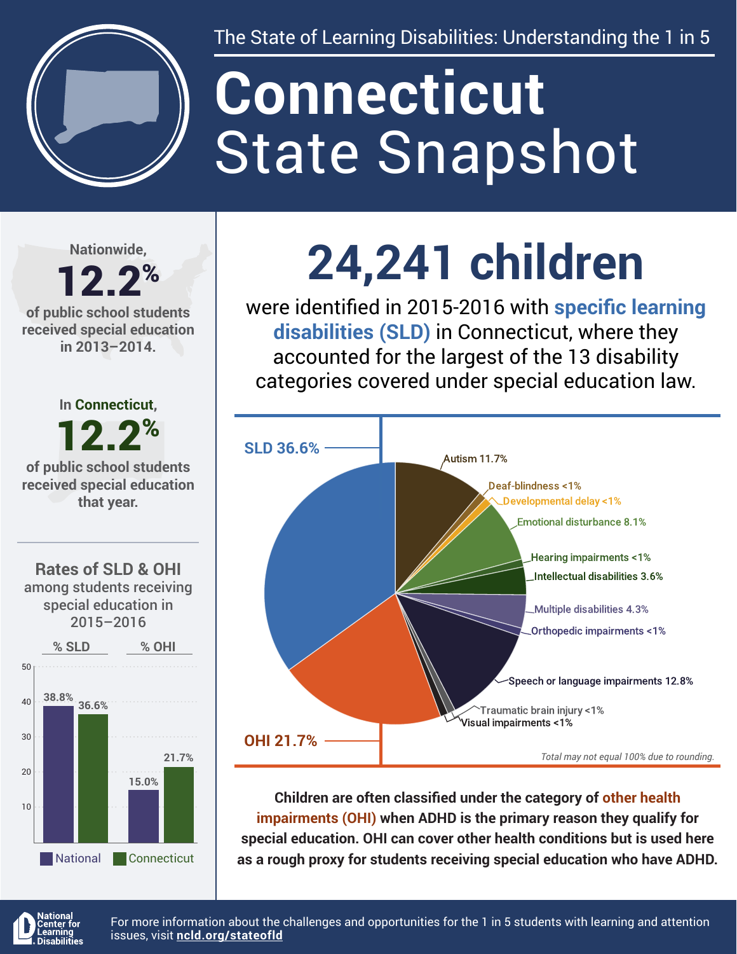

The State of Learning Disabilities: Understanding the 1 in 5

# State Snapshot **Connecticut**

**Nationwide,**

#### 12.2% **of public school students received special education in 2013–2014.**



special education in 2015–2016



## **24,241 children**

were identified in 2015-2016 with **specific learning disabilities (SLD)** in Connecticut, where they accounted for the largest of the 13 disability categories covered under special education law.



**Children are often classified under the category of other health impairments (OHI) when ADHD is the primary reason they qualify for special education. OHI can cover other health conditions but is used here as a rough proxy for students receiving special education who have ADHD.**



For more information about the challenges and opportunities for the 1 in 5 students with learning and attention issues, visit **[ncld.org/stateofld](http://ncld.org/stateofld)**